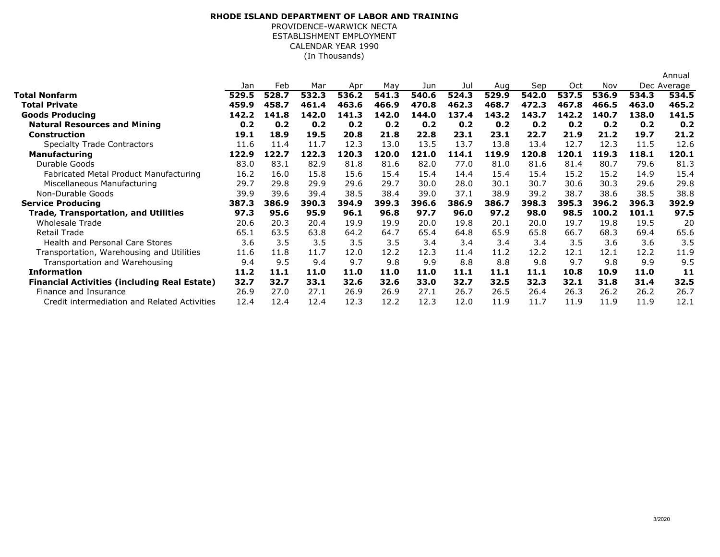## **RHODE ISLAND DEPARTMENT OF LABOR AND TRAINING**

ESTABLISHMENT EMPLOYMENT PROVIDENCE-WARWICK NECTACALENDAR YEAR 1990(In Thousands)

|                                                     |       |       |       |       |       |       |       |       |       |       |       |       | Annual      |
|-----------------------------------------------------|-------|-------|-------|-------|-------|-------|-------|-------|-------|-------|-------|-------|-------------|
|                                                     | Jan   | Feb   | Mar   | Apr   | May   | Jun   | Jul   | Aug   | Sep   | Oct   | Nov   |       | Dec Average |
| <b>Total Nonfarm</b>                                | 529.5 | 528.7 | 532.3 | 536.2 | 541.3 | 540.6 | 524.3 | 529.9 | 542.0 | 537.5 | 536.9 | 534.3 | 534.5       |
| Total Private                                       | 459.9 | 458.7 | 461.4 | 463.6 | 466.9 | 470.8 | 462.3 | 468.7 | 472.3 | 467.8 | 466.5 | 463.0 | 465.2       |
| <b>Goods Producing</b>                              | 142.2 | 141.8 | 142.0 | 141.3 | 142.0 | 144.0 | 137.4 | 143.2 | 143.7 | 142.2 | 140.7 | 138.0 | 141.5       |
| <b>Natural Resources and Mining</b>                 | 0.2   | 0.2   | 0.2   | 0.2   | 0.2   | 0.2   | 0.2   | 0.2   | 0.2   | 0.2   | 0.2   | 0.2   | 0.2         |
| <b>Construction</b>                                 | 19.1  | 18.9  | 19.5  | 20.8  | 21.8  | 22.8  | 23.1  | 23.1  | 22.7  | 21.9  | 21.2  | 19.7  | 21.2        |
| <b>Specialty Trade Contractors</b>                  | 11.6  | 11.4  | 11.7  | 12.3  | 13.0  | 13.5  | 13.7  | 13.8  | 13.4  | 12.7  | 12.3  | 11.5  | 12.6        |
| <b>Manufacturing</b>                                | 122.9 | 122.7 | 122.3 | 120.3 | 120.0 | 121.0 | 114.1 | 119.9 | 120.8 | 120.1 | 119.3 | 118.1 | 120.1       |
| Durable Goods                                       | 83.0  | 83.1  | 82.9  | 81.8  | 81.6  | 82.0  | 77.0  | 81.0  | 81.6  | 81.4  | 80.7  | 79.6  | 81.3        |
| Fabricated Metal Product Manufacturing              | 16.2  | 16.0  | 15.8  | 15.6  | 15.4  | 15.4  | 14.4  | 15.4  | 15.4  | 15.2  | 15.2  | 14.9  | 15.4        |
| Miscellaneous Manufacturing                         | 29.7  | 29.8  | 29.9  | 29.6  | 29.7  | 30.0  | 28.0  | 30.1  | 30.7  | 30.6  | 30.3  | 29.6  | 29.8        |
| Non-Durable Goods                                   | 39.9  | 39.6  | 39.4  | 38.5  | 38.4  | 39.0  | 37.1  | 38.9  | 39.2  | 38.7  | 38.6  | 38.5  | 38.8        |
| <b>Service Producing</b>                            | 387.3 | 386.9 | 390.3 | 394.9 | 399.3 | 396.6 | 386.9 | 386.7 | 398.3 | 395.3 | 396.2 | 396.3 | 392.9       |
| <b>Trade, Transportation, and Utilities</b>         | 97.3  | 95.6  | 95.9  | 96.1  | 96.8  | 97.7  | 96.0  | 97.2  | 98.0  | 98.5  | 100.2 | 101.1 | 97.5        |
| Wholesale Trade                                     | 20.6  | 20.3  | 20.4  | 19.9  | 19.9  | 20.0  | 19.8  | 20.1  | 20.0  | 19.7  | 19.8  | 19.5  | 20          |
| <b>Retail Trade</b>                                 | 65.1  | 63.5  | 63.8  | 64.2  | 64.7  | 65.4  | 64.8  | 65.9  | 65.8  | 66.7  | 68.3  | 69.4  | 65.6        |
| <b>Health and Personal Care Stores</b>              | 3.6   | 3.5   | 3.5   | 3.5   | 3.5   | 3.4   | 3.4   | 3.4   | 3.4   | 3.5   | 3.6   | 3.6   | 3.5         |
| Transportation, Warehousing and Utilities           | 11.6  | 11.8  | 11.7  | 12.0  | 12.2  | 12.3  | 11.4  | 11.2  | 12.2  | 12.1  | 12.1  | 12.2  | 11.9        |
| Transportation and Warehousing                      | 9.4   | 9.5   | 9.4   | 9.7   | 9.8   | 9.9   | 8.8   | 8.8   | 9.8   | 9.7   | 9.8   | 9.9   | 9.5         |
| <b>Information</b>                                  | 11.2  | 11.1  | 11.0  | 11.0  | 11.0  | 11.0  | 11.1  | 11.1  | 11.1  | 10.8  | 10.9  | 11.0  | 11          |
| <b>Financial Activities (including Real Estate)</b> | 32.7  | 32.7  | 33.1  | 32.6  | 32.6  | 33.0  | 32.7  | 32.5  | 32.3  | 32.1  | 31.8  | 31.4  | 32.5        |
| Finance and Insurance                               | 26.9  | 27.0  | 27.1  | 26.9  | 26.9  | 27.1  | 26.7  | 26.5  | 26.4  | 26.3  | 26.2  | 26.2  | 26.7        |
| Credit intermediation and Related Activities        | 12.4  | 12.4  | 12.4  | 12.3  | 12.2  | 12.3  | 12.0  | 11.9  | 11.7  | 11.9  | 11.9  | 11.9  | 12.1        |